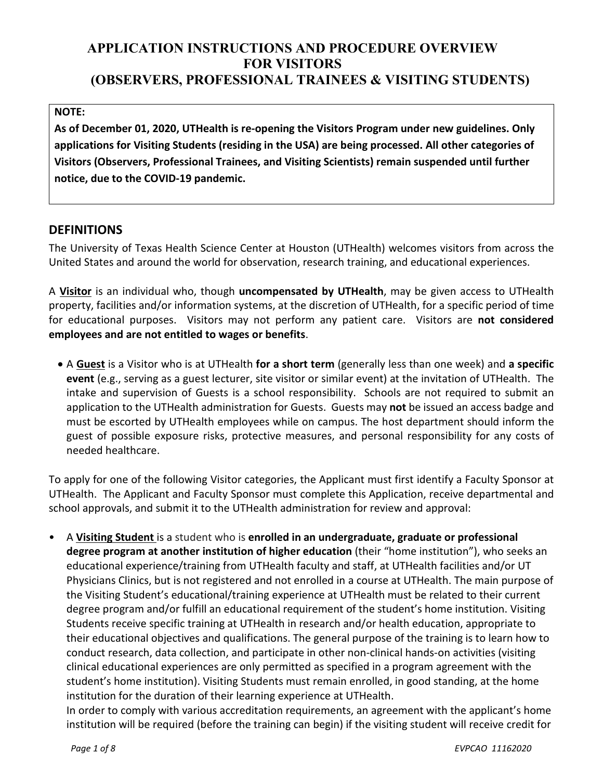# **APPLICATION INSTRUCTIONS AND PROCEDURE OVERVIEW FOR VISITORS (OBSERVERS, PROFESSIONAL TRAINEES & VISITING STUDENTS)**

#### **NOTE:**

**As of December 01, 2020, UTHealth is re-opening the Visitors Program under new guidelines. Only applications for Visiting Students (residing in the USA) are being processed. All other categories of Visitors (Observers, Professional Trainees, and Visiting Scientists) remain suspended until further notice, due to the COVID-19 pandemic.**

### **DEFINITIONS**

The University of Texas Health Science Center at Houston (UTHealth) welcomes visitors from across the United States and around the world for observation, research training, and educational experiences.

A **Visitor** is an individual who, though **uncompensated by UTHealth**, may be given access to UTHealth property, facilities and/or information systems, at the discretion of UTHealth, for a specific period of time for educational purposes. Visitors may not perform any patient care. Visitors are **not considered employees and are not entitled to wages or benefits**.

• A **Guest** is a Visitor who is at UTHealth **for a short term** (generally less than one week) and **a specific event** (e.g., serving as a guest lecturer, site visitor or similar event) at the invitation of UTHealth. The intake and supervision of Guests is a school responsibility. Schools are not required to submit an application to the UTHealth administration for Guests. Guests may **not** be issued an access badge and must be escorted by UTHealth employees while on campus. The host department should inform the guest of possible exposure risks, protective measures, and personal responsibility for any costs of needed healthcare.

To apply for one of the following Visitor categories, the Applicant must first identify a Faculty Sponsor at UTHealth. The Applicant and Faculty Sponsor must complete this Application, receive departmental and school approvals, and submit it to the UTHealth administration for review and approval:

• A **Visiting Student** is a student who is **enrolled in an undergraduate, graduate or professional degree program at another institution of higher education** (their "home institution"), who seeks an educational experience/training from UTHealth faculty and staff, at UTHealth facilities and/or UT Physicians Clinics, but is not registered and not enrolled in a course at UTHealth. The main purpose of the Visiting Student's educational/training experience at UTHealth must be related to their current degree program and/or fulfill an educational requirement of the student's home institution. Visiting Students receive specific training at UTHealth in research and/or health education, appropriate to their educational objectives and qualifications. The general purpose of the training is to learn how to conduct research, data collection, and participate in other non-clinical hands-on activities (visiting clinical educational experiences are only permitted as specified in a program agreement with the student's home institution). Visiting Students must remain enrolled, in good standing, at the home institution for the duration of their learning experience at UTHealth.

In order to comply with various accreditation requirements, an agreement with the applicant's home institution will be required (before the training can begin) if the visiting student will receive credit for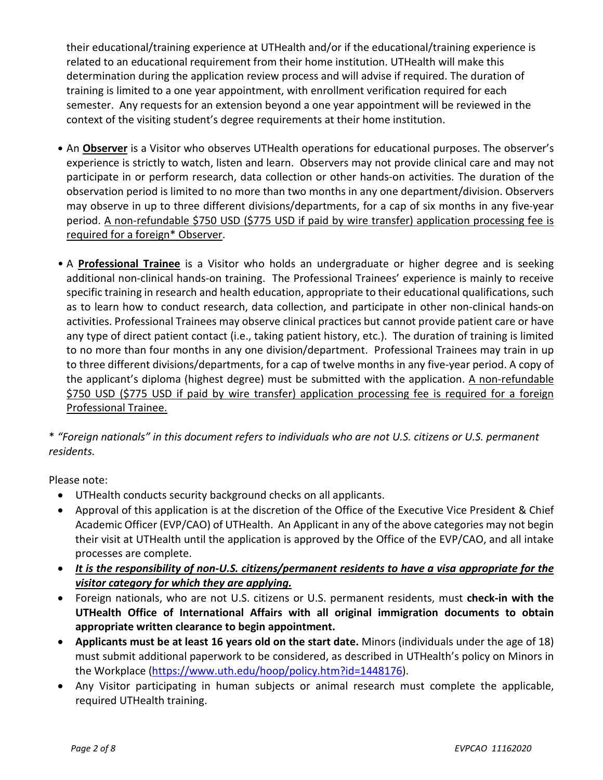their educational/training experience at UTHealth and/or if the educational/training experience is related to an educational requirement from their home institution. UTHealth will make this determination during the application review process and will advise if required. The duration of training is limited to a one year appointment, with enrollment verification required for each semester. Any requests for an extension beyond a one year appointment will be reviewed in the context of the visiting student's degree requirements at their home institution.

- **•** An **Observer** is a Visitor who observes UTHealth operations for educational purposes. The observer's experience is strictly to watch, listen and learn. Observers may not provide clinical care and may not participate in or perform research, data collection or other hands-on activities. The duration of the observation period is limited to no more than two months in any one department/division. Observers may observe in up to three different divisions/departments, for a cap of six months in any five-year period. A non-refundable \$750 USD (\$775 USD if paid by wire transfer) application processing fee is required for a foreign\* Observer.
- A **Professional Trainee** is a Visitor who holds an undergraduate or higher degree and is seeking additional non-clinical hands-on training. The Professional Trainees' experience is mainly to receive specific training in research and health education, appropriate to their educational qualifications, such as to learn how to conduct research, data collection, and participate in other non-clinical hands-on activities. Professional Trainees may observe clinical practices but cannot provide patient care or have any type of direct patient contact (i.e., taking patient history, etc.). The duration of training is limited to no more than four months in any one division/department. Professional Trainees may train in up to three different divisions/departments, for a cap of twelve months in any five-year period. A copy of the applicant's diploma (highest degree) must be submitted with the application. A non-refundable \$750 USD (\$775 USD if paid by wire transfer) application processing fee is required for a foreign Professional Trainee.

\* *"Foreign nationals" in this document refers to individuals who are not U.S. citizens or U.S. permanent residents.*

Please note:

- UTHealth conducts security background checks on all applicants.
- Approval of this application is at the discretion of the Office of the Executive Vice President & Chief Academic Officer (EVP/CAO) of UTHealth. An Applicant in any of the above categories may not begin their visit at UTHealth until the application is approved by the Office of the EVP/CAO, and all intake processes are complete.
- *It is the responsibility of non-U.S. citizens/permanent residents to have a visa appropriate for the visitor category for which they are applying.*
- Foreign nationals, who are not U.S. citizens or U.S. permanent residents, must **check-in with the UTHealth Office of International Affairs with all original immigration documents to obtain appropriate written clearance to begin appointment.**
- **Applicants must be at least 16 years old on the start date.** Minors (individuals under the age of 18) must submit additional paperwork to be considered, as described in UTHealth's policy on [Minors in](http://www.uthouston.edu/hoop/policy.htm?id=1448176)  [the Workplace](http://www.uthouston.edu/hoop/policy.htm?id=1448176) [\(https://www.uth.edu/hoop/policy.htm?id=1448176\)](https://www.uth.edu/hoop/policy.htm?id=1448176).
- Any Visitor participating in human subjects or animal research must complete the applicable, required UTHealth training.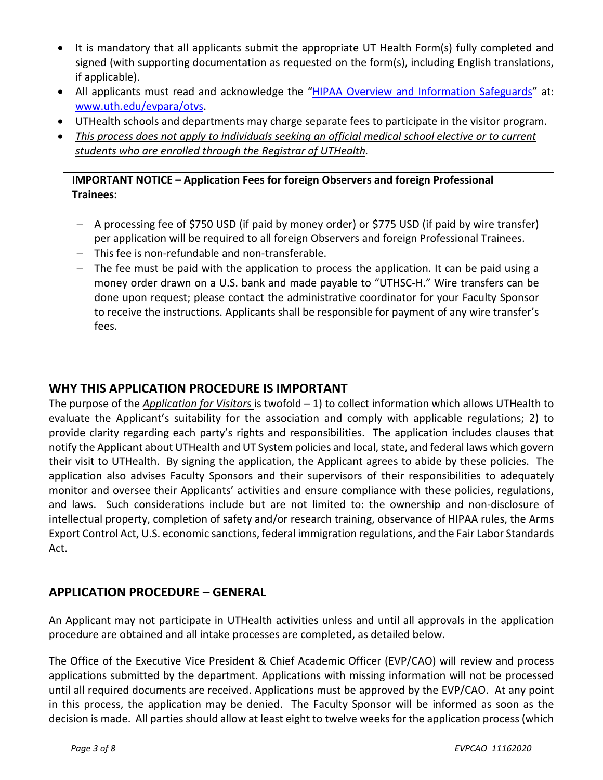- It is mandatory that all applicants submit the appropriate UT Health Form(s) fully completed and signed (with supporting documentation as requested on the form(s), including English translations, if applicable).
- All applicants must read and acknowledge the ["HIPAA Overview and Information Safeguards"](https://www.uth.edu/evpara/otvs/docs/Visitor_HIPAA%20Training_07152013-link%20updated.pdf) at: [www.uth.edu/evpara/otvs.](http://www.uth.edu/evpara/otvs)
- UTHealth schools and departments may charge separate fees to participate in the visitor program.
- *This process does not apply to individuals seeking an official medical school elective or to current students who are enrolled through the Registrar of UTHealth.*

### **IMPORTANT NOTICE – Application Fees for foreign Observers and foreign Professional Trainees:**

- − A processing fee of \$750 USD (if paid by money order) or \$775 USD (if paid by wire transfer) per application will be required to all foreign Observers and foreign Professional Trainees.
- − This fee is non-refundable and non-transferable.
- − The fee must be paid with the application to process the application. It can be paid using a money order drawn on a U.S. bank and made payable to "UTHSC-H." Wire transfers can be done upon request; please contact the administrative coordinator for your Faculty Sponsor to receive the instructions. Applicants shall be responsible for payment of any wire transfer's fees.

## **WHY THIS APPLICATION PROCEDURE IS IMPORTANT**

The purpose of the *Application for Visitors* is twofold – 1) to collect information which allows UTHealth to evaluate the Applicant's suitability for the association and comply with applicable regulations; 2) to provide clarity regarding each party's rights and responsibilities. The application includes clauses that notify the Applicant about UTHealth and UT System policies and local, state, and federal laws which govern their visit to UTHealth. By signing the application, the Applicant agrees to abide by these policies. The application also advises Faculty Sponsors and their supervisors of their responsibilities to adequately monitor and oversee their Applicants' activities and ensure compliance with these policies, regulations, and laws. Such considerations include but are not limited to: the ownership and non-disclosure of intellectual property, completion of safety and/or research training, observance of HIPAA rules, the Arms Export Control Act, U.S. economic sanctions, federal immigration regulations, and the Fair Labor Standards Act.

### **APPLICATION PROCEDURE – GENERAL**

An Applicant may not participate in UTHealth activities unless and until all approvals in the application procedure are obtained and all intake processes are completed, as detailed below.

The Office of the Executive Vice President & Chief Academic Officer (EVP/CAO) will review and process applications submitted by the department. Applications with missing information will not be processed until all required documents are received. Applications must be approved by the EVP/CAO. At any point in this process, the application may be denied. The Faculty Sponsor will be informed as soon as the decision is made. All parties should allow at least eight to twelve weeks for the application process (which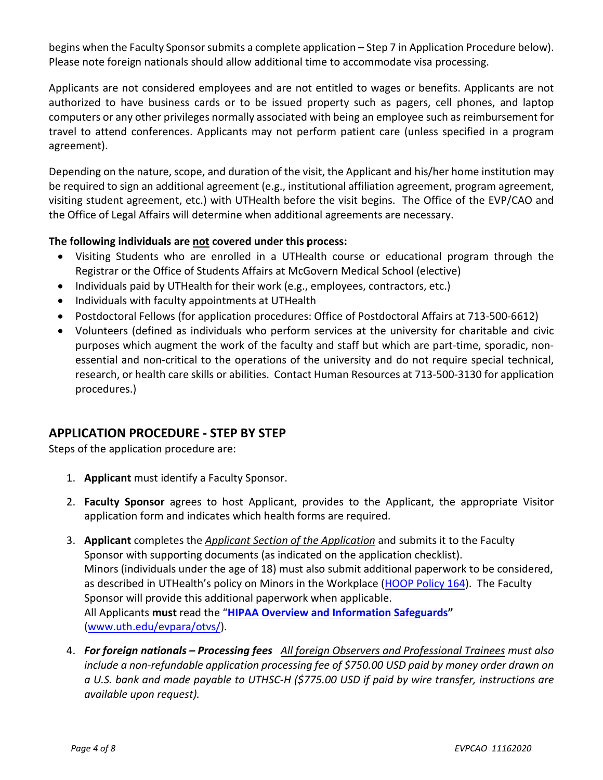begins when the Faculty Sponsor submits a complete application – Step 7 in Application Procedure below). Please note foreign nationals should allow additional time to accommodate visa processing.

Applicants are not considered employees and are not entitled to wages or benefits. Applicants are not authorized to have business cards or to be issued property such as pagers, cell phones, and laptop computers or any other privileges normally associated with being an employee such as reimbursement for travel to attend conferences. Applicants may not perform patient care (unless specified in a program agreement).

Depending on the nature, scope, and duration of the visit, the Applicant and his/her home institution may be required to sign an additional agreement (e.g., institutional affiliation agreement, program agreement, visiting student agreement, etc.) with UTHealth before the visit begins. The Office of the EVP/CAO and the Office of Legal Affairs will determine when additional agreements are necessary.

#### **The following individuals are not covered under this process:**

- Visiting Students who are enrolled in a UTHealth course or educational program through the Registrar or the Office of Students Affairs at McGovern Medical School (elective)
- Individuals paid by UTHealth for their work (e.g., employees, contractors, etc.)
- Individuals with faculty appointments at UTHealth
- Postdoctoral Fellows (for application procedures: Office of Postdoctoral Affairs at 713-500-6612)
- Volunteers (defined as individuals who perform services at the university for charitable and civic purposes which augment the work of the faculty and staff but which are part-time, sporadic, nonessential and non-critical to the operations of the university and do not require special technical, research, or health care skills or abilities. Contact Human Resources at 713-500-3130 for application procedures.)

## **APPLICATION PROCEDURE - STEP BY STEP**

Steps of the application procedure are:

- 1. **Applicant** must identify a Faculty Sponsor.
- 2. **Faculty Sponsor** agrees to host Applicant, provides to the Applicant, the appropriate Visitor application form and indicates which health forms are required.
- 3. **Applicant** completes the *Applicant Section of the Application* and submits it to the Faculty Sponsor with supporting documents (as indicated on the application checklist). Minors (individuals under the age of 18) must also submit additional paperwork to be considered, as described in UTHealth's policy on Minors in the Workplace [\(HOOP Policy 164\)](https://www.uth.edu/hoop/policy.htm?id=1448176). The Faculty Sponsor will provide this additional paperwork when applicable. All Applicants **must** read the "**[HIPAA Overview and Information Safeguards"](https://www.uth.edu/evpara/otvs/docs/Visitor_HIPAA%20Training_07152013-link%20updated.pdf)** [\(www.uth.edu/evpara/otvs/\)](http://www.uth.edu/evpara/otvs/).
- 4. *For foreign nationals – Processing fees All foreign Observers and Professional Trainees must also include a non-refundable application processing fee of \$750.00 USD paid by money order drawn on a U.S. bank and made payable to UTHSC-H (\$775.00 USD if paid by wire transfer, instructions are available upon request).*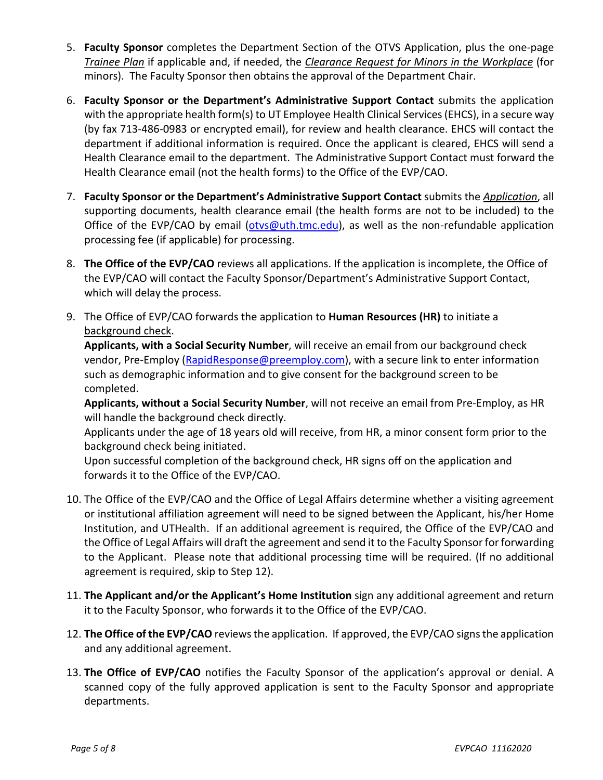- 5. **Faculty Sponsor** completes the Department Section of the OTVS Application, plus the one-page *Trainee Plan* if applicable and, if needed, the *Clearance Request for Minors in the Workplace* (for minors). The Faculty Sponsor then obtains the approval of the Department Chair.
- 6. **Faculty Sponsor or the Department's Administrative Support Contact** submits the application with the appropriate health form(s) to UT Employee Health Clinical Services (EHCS), in a secure way (by fax 713-486-0983 or encrypted email), for review and health clearance. EHCS will contact the department if additional information is required. Once the applicant is cleared, EHCS will send a Health Clearance email to the department. The Administrative Support Contact must forward the Health Clearance email (not the health forms) to the Office of the EVP/CAO.
- 7. **Faculty Sponsor or the Department's Administrative Support Contact** submits the *Application*, all supporting documents, health clearance email (the health forms are not to be included) to the Office of the EVP/CAO by email [\(otvs@uth.tmc.edu\)](mailto:otvs@uth.tmc.edu), as well as the non-refundable application processing fee (if applicable) for processing.
- 8. **The Office of the EVP/CAO** reviews all applications. If the application is incomplete, the Office of the EVP/CAO will contact the Faculty Sponsor/Department's Administrative Support Contact, which will delay the process.
- 9. The Office of EVP/CAO forwards the application to **Human Resources (HR)** to initiate a background check.

**Applicants, with a Social Security Number**, will receive an email from our background check vendor, Pre-Employ [\(RapidResponse@preemploy.com\)](mailto:RapidResponse@preemploy.com), with a secure link to enter information such as demographic information and to give consent for the background screen to be completed.

**Applicants, without a Social Security Number**, will not receive an email from Pre-Employ, as HR will handle the background check directly.

Applicants under the age of 18 years old will receive, from HR, a minor consent form prior to the background check being initiated.

Upon successful completion of the background check, HR signs off on the application and forwards it to the Office of the EVP/CAO.

- 10. The Office of the EVP/CAO and the Office of Legal Affairs determine whether a visiting agreement or institutional affiliation agreement will need to be signed between the Applicant, his/her Home Institution, and UTHealth. If an additional agreement is required, the Office of the EVP/CAO and the Office of Legal Affairs will draft the agreement and send it to the Faculty Sponsor for forwarding to the Applicant. Please note that additional processing time will be required. (If no additional agreement is required, skip to Step 12).
- 11. **The Applicant and/or the Applicant's Home Institution** sign any additional agreement and return it to the Faculty Sponsor, who forwards it to the Office of the EVP/CAO.
- 12. **The Office of the EVP/CAO** reviews the application. If approved, the EVP/CAO signs the application and any additional agreement.
- 13. **The Office of EVP/CAO** notifies the Faculty Sponsor of the application's approval or denial. A scanned copy of the fully approved application is sent to the Faculty Sponsor and appropriate departments.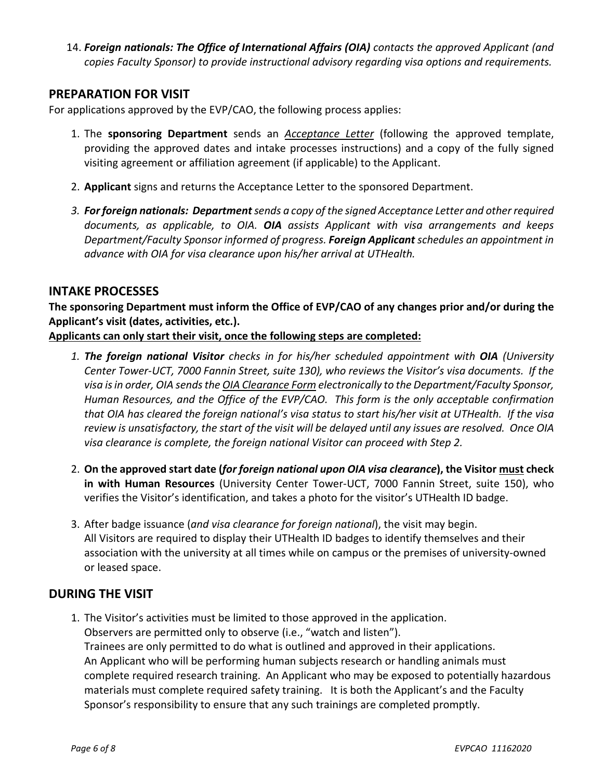14. *Foreign nationals: The Office of International Affairs (OIA) contacts the approved Applicant (and copies Faculty Sponsor) to provide instructional advisory regarding visa options and requirements.*

### **PREPARATION FOR VISIT**

For applications approved by the EVP/CAO, the following process applies:

- 1. The **sponsoring Department** sends an *Acceptance Letter* (following the approved template, providing the approved dates and intake processes instructions) and a copy of the fully signed visiting agreement or affiliation agreement (if applicable) to the Applicant.
- 2. **Applicant** signs and returns the Acceptance Letter to the sponsored Department.
- *3. For foreign nationals: Departmentsends a copy of the signed Acceptance Letter and other required documents, as applicable, to OIA. OIA assists Applicant with visa arrangements and keeps Department/Faculty Sponsor informed of progress. Foreign Applicant schedules an appointment in advance with OIA for visa clearance upon his/her arrival at UTHealth.*

#### **INTAKE PROCESSES**

**The sponsoring Department must inform the Office of EVP/CAO of any changes prior and/or during the Applicant's visit (dates, activities, etc.).**

**Applicants can only start their visit, once the following steps are completed:**

- 1. **The foreign national Visitor** checks in for his/her scheduled appointment with **OIA** (University *Center Tower-UCT, 7000 Fannin Street, suite 130), who reviews the Visitor's visa documents. If the visa isin order, OIA sends the OIA Clearance Form electronically to the Department/Faculty Sponsor, Human Resources, and the Office of the EVP/CAO. This form is the only acceptable confirmation that OIA has cleared the foreign national's visa status to start his/her visit at UTHealth. If the visa review is unsatisfactory, the start of the visit will be delayed until any issues are resolved. Once OIA visa clearance is complete, the foreign national Visitor can proceed with Step 2.*
- 2. **On the approved start date (***for foreign national upon OIA visa clearance***), the Visitor must check in with Human Resources** (University Center Tower-UCT, 7000 Fannin Street, suite 150), who verifies the Visitor's identification, and takes a photo for the visitor's UTHealth ID badge.
- 3. After badge issuance (*and visa clearance for foreign national*), the visit may begin. All Visitors are required to display their UTHealth ID badges to identify themselves and their association with the university at all times while on campus or the premises of university-owned or leased space.

#### **DURING THE VISIT**

1. The Visitor's activities must be limited to those approved in the application. Observers are permitted only to observe (i.e., "watch and listen"). Trainees are only permitted to do what is outlined and approved in their applications. An Applicant who will be performing human subjects research or handling animals must complete required research training. An Applicant who may be exposed to potentially hazardous materials must complete required safety training. It is both the Applicant's and the Faculty Sponsor's responsibility to ensure that any such trainings are completed promptly.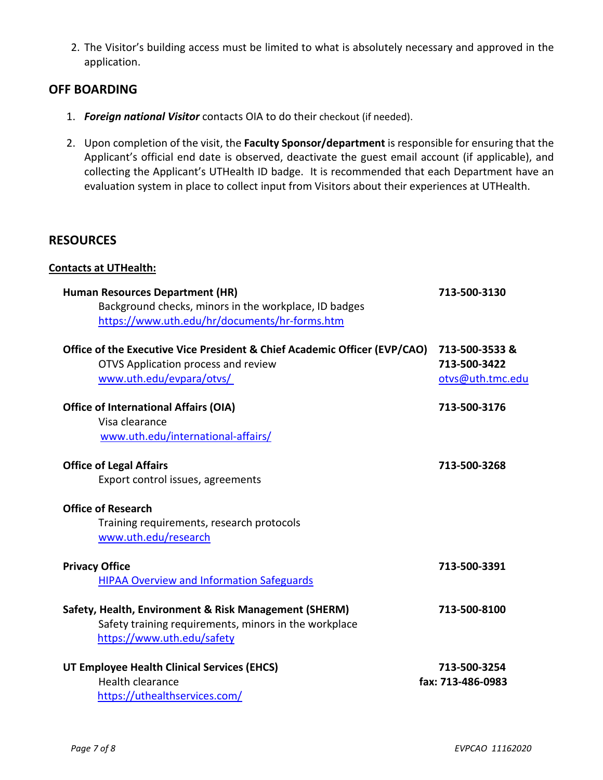2. The Visitor's building access must be limited to what is absolutely necessary and approved in the application.

### **OFF BOARDING**

- 1. *Foreign national Visitor* contacts OIA to do their checkout (if needed).
- 2. Upon completion of the visit, the **Faculty Sponsor/department** is responsible for ensuring that the Applicant's official end date is observed, deactivate the guest email account (if applicable), and collecting the Applicant's UTHealth ID badge. It is recommended that each Department have an evaluation system in place to collect input from Visitors about their experiences at UTHealth.

#### **RESOURCES**

#### **Contacts at UTHealth:**

| <b>Human Resources Department (HR)</b><br>Background checks, minors in the workplace, ID badges<br>https://www.uth.edu/hr/documents/hr-forms.htm | 713-500-3130                                      |
|--------------------------------------------------------------------------------------------------------------------------------------------------|---------------------------------------------------|
| Office of the Executive Vice President & Chief Academic Officer (EVP/CAO)<br>OTVS Application process and review<br>www.uth.edu/evpara/otvs/     | 713-500-3533&<br>713-500-3422<br>otvs@uth.tmc.edu |
| <b>Office of International Affairs (OIA)</b><br>Visa clearance<br>www.uth.edu/international-affairs/                                             | 713-500-3176                                      |
| <b>Office of Legal Affairs</b><br>Export control issues, agreements                                                                              | 713-500-3268                                      |
| <b>Office of Research</b><br>Training requirements, research protocols<br>www.uth.edu/research                                                   |                                                   |
| <b>Privacy Office</b><br><b>HIPAA Overview and Information Safeguards</b>                                                                        | 713-500-3391                                      |
| Safety, Health, Environment & Risk Management (SHERM)<br>Safety training requirements, minors in the workplace<br>https://www.uth.edu/safety     | 713-500-8100                                      |
| UT Employee Health Clinical Services (EHCS)<br><b>Health clearance</b><br>https://uthealthservices.com/                                          | 713-500-3254<br>fax: 713-486-0983                 |